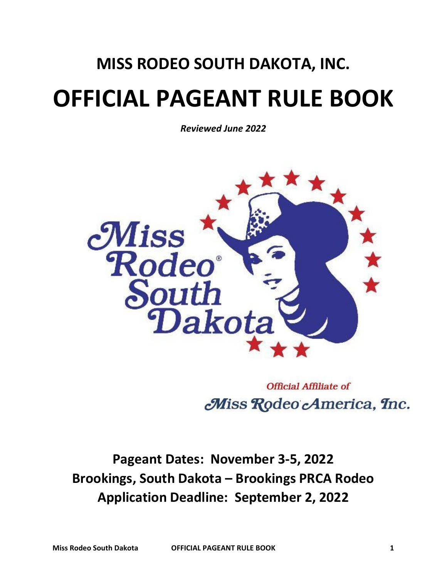## **MISS RODEO SOUTH DAKOTA, INC. OFFICIAL PAGEANT RULE BOOK**

*Reviewed June 2022*



**Official Affiliate of** Miss Rodeo America, Inc.

**Pageant Dates: November 3-5, 2022 Brookings, South Dakota – Brookings PRCA Rodeo Application Deadline: September 2, 2022**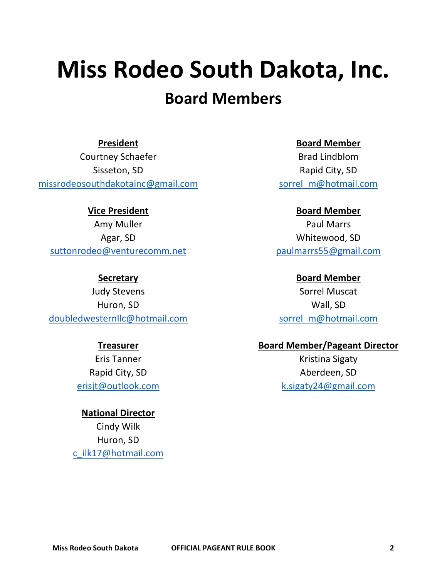# **Miss Rodeo South Dakota, Inc.**

## **Board Members**

**President**

Courtney Schaefer Sisseton, SD [missrodeosouthdakotainc@gmail.com](mailto:missrodeosouthdakotainc@gmail.com)

**Vice President** Amy Muller Agar, SD [suttonrodeo@venturecomm.net](mailto:suttonrodeo@venturecomm.net)

**Secretary**

Judy Stevens Huron, SD [doubledwesternllc@hotmail.com](mailto:doubledwesternllc@hotmail.com)

#### **Treasurer**

Eris Tanner Rapid City, SD [erisjt@outlook.com](mailto:erisjt@outlook.com)

**National Director** Cindy Wilk Huron, SD [c\\_ilk17@hotmail.com](mailto:c_ilk17@hotmail.com) **Board Member**

Brad Lindblom Rapid City, SD [sorrel\\_m@hotmail.com](mailto:sorrel_m@hotmail.com)

**Board Member**

Paul Marrs Whitewood, SD [paulmarrs55@gmail.com](mailto:paulmarrs55@gmail.com)

**Board Member** Sorrel Muscat Wall, SD [sorrel\\_m@hotmail.com](mailto:sorrel_m@hotmail.com)

#### **Board Member/Pageant Director**

Kristina Sigaty Aberdeen, SD k.sigaty24@gmail.com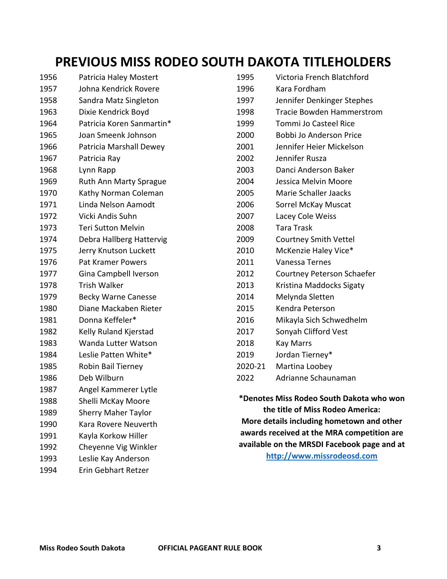## **PREVIOUS MISS RODEO SOUTH DAKOTA TITLEHOLDERS**

| 1956 | Patricia Haley Mostert     | 1995                                        | Victoria French Blatchford       |
|------|----------------------------|---------------------------------------------|----------------------------------|
| 1957 | Johna Kendrick Rovere      | 1996                                        | Kara Fordham                     |
| 1958 | Sandra Matz Singleton      | 1997                                        | Jennifer Denkinger Stephes       |
| 1963 | Dixie Kendrick Boyd        | 1998                                        | <b>Tracie Bowden Hammerstrom</b> |
| 1964 | Patricia Koren Sanmartin*  | 1999                                        | Tommi Jo Casteel Rice            |
| 1965 | Joan Smeenk Johnson        | 2000                                        | Bobbi Jo Anderson Price          |
| 1966 | Patricia Marshall Dewey    | 2001                                        | Jennifer Heier Mickelson         |
| 1967 | Patricia Ray               | 2002                                        | Jennifer Rusza                   |
| 1968 | Lynn Rapp                  | 2003                                        | Danci Anderson Baker             |
| 1969 | Ruth Ann Marty Sprague     | 2004                                        | Jessica Melvin Moore             |
| 1970 | Kathy Norman Coleman       | 2005                                        | Marie Schaller Jaacks            |
| 1971 | Linda Nelson Aamodt        | 2006                                        | Sorrel McKay Muscat              |
| 1972 | Vicki Andis Suhn           | 2007                                        | Lacey Cole Weiss                 |
| 1973 | <b>Teri Sutton Melvin</b>  | 2008                                        | <b>Tara Trask</b>                |
| 1974 | Debra Hallberg Hattervig   | 2009                                        | <b>Courtney Smith Vettel</b>     |
| 1975 | Jerry Knutson Luckett      | 2010                                        | McKenzie Haley Vice*             |
| 1976 | <b>Pat Kramer Powers</b>   | 2011                                        | Vanessa Ternes                   |
| 1977 | Gina Campbell Iverson      | 2012                                        | Courtney Peterson Schaefer       |
| 1978 | <b>Trish Walker</b>        | 2013                                        | Kristina Maddocks Sigaty         |
| 1979 | <b>Becky Warne Canesse</b> | 2014                                        | Melynda Sletten                  |
| 1980 | Diane Mackaben Rieter      | 2015                                        | Kendra Peterson                  |
| 1981 | Donna Keffeler*            | 2016                                        | Mikayla Sich Schwedhelm          |
| 1982 | Kelly Ruland Kjerstad      | 2017                                        | Sonyah Clifford Vest             |
| 1983 | Wanda Lutter Watson        | 2018                                        | <b>Kay Marrs</b>                 |
| 1984 | Leslie Patten White*       | 2019                                        | Jordan Tierney*                  |
| 1985 | Robin Bail Tierney         | 2020-21                                     | Martina Loobey                   |
| 1986 | Deb Wilburn                | 2022                                        | Adrianne Schaunaman              |
| 1987 | Angel Kammerer Lytle       |                                             |                                  |
| 1988 | Shelli McKay Moore         | *Denotes Miss Rodeo South Dakota who won    |                                  |
| 1989 | <b>Sherry Maher Taylor</b> | the title of Miss Rodeo America:            |                                  |
| 1990 | Kara Rovere Neuverth       | More details including hometown and other   |                                  |
| 1991 | Kayla Korkow Hiller        | awards received at the MRA competition are  |                                  |
| 1992 | Cheyenne Vig Winkler       | available on the MRSDI Facebook page and at |                                  |
| 1993 | Leslie Kay Anderson        |                                             | http://www.missrodeosd.com       |
| 1994 | Erin Gebhart Retzer        |                                             |                                  |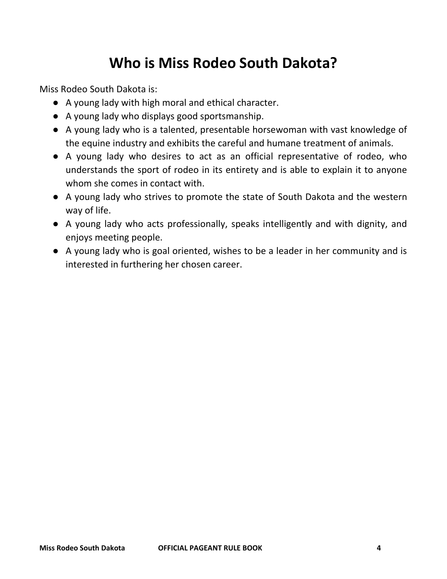## **Who is Miss Rodeo South Dakota?**

Miss Rodeo South Dakota is:

- A young lady with high moral and ethical character.
- A young lady who displays good sportsmanship.
- A young lady who is a talented, presentable horsewoman with vast knowledge of the equine industry and exhibits the careful and humane treatment of animals.
- A young lady who desires to act as an official representative of rodeo, who understands the sport of rodeo in its entirety and is able to explain it to anyone whom she comes in contact with.
- A young lady who strives to promote the state of South Dakota and the western way of life.
- A young lady who acts professionally, speaks intelligently and with dignity, and enjoys meeting people.
- A young lady who is goal oriented, wishes to be a leader in her community and is interested in furthering her chosen career.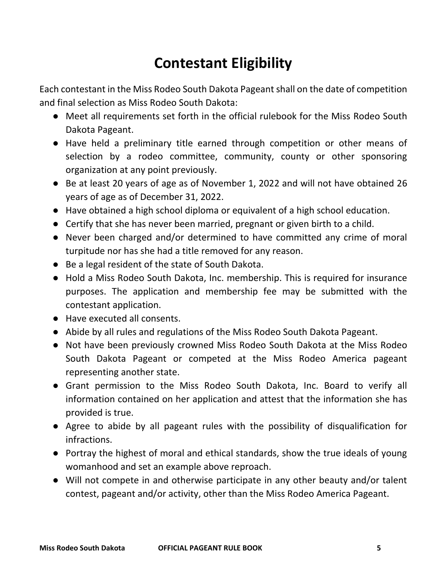## **Contestant Eligibility**

Each contestant in the Miss Rodeo South Dakota Pageant shall on the date of competition and final selection as Miss Rodeo South Dakota:

- Meet all requirements set forth in the official rulebook for the Miss Rodeo South Dakota Pageant.
- Have held a preliminary title earned through competition or other means of selection by a rodeo committee, community, county or other sponsoring organization at any point previously.
- Be at least 20 years of age as of November 1, 2022 and will not have obtained 26 years of age as of December 31, 2022.
- Have obtained a high school diploma or equivalent of a high school education.
- Certify that she has never been married, pregnant or given birth to a child.
- Never been charged and/or determined to have committed any crime of moral turpitude nor has she had a title removed for any reason.
- Be a legal resident of the state of South Dakota.
- Hold a Miss Rodeo South Dakota, Inc. membership. This is required for insurance purposes. The application and membership fee may be submitted with the contestant application.
- Have executed all consents.
- Abide by all rules and regulations of the Miss Rodeo South Dakota Pageant.
- Not have been previously crowned Miss Rodeo South Dakota at the Miss Rodeo South Dakota Pageant or competed at the Miss Rodeo America pageant representing another state.
- Grant permission to the Miss Rodeo South Dakota, Inc. Board to verify all information contained on her application and attest that the information she has provided is true.
- Agree to abide by all pageant rules with the possibility of disqualification for infractions.
- Portray the highest of moral and ethical standards, show the true ideals of young womanhood and set an example above reproach.
- Will not compete in and otherwise participate in any other beauty and/or talent contest, pageant and/or activity, other than the Miss Rodeo America Pageant.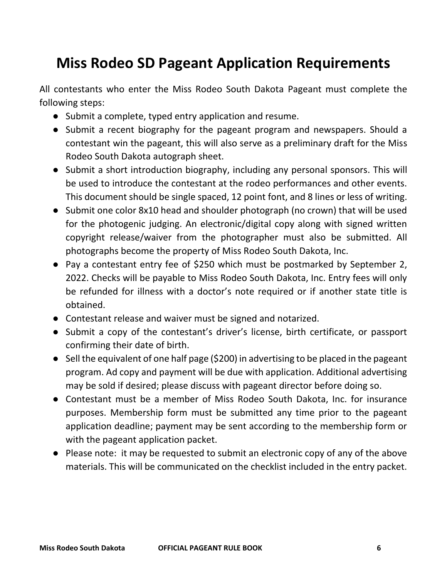## **Miss Rodeo SD Pageant Application Requirements**

All contestants who enter the Miss Rodeo South Dakota Pageant must complete the following steps:

- Submit a complete, typed entry application and resume.
- Submit a recent biography for the pageant program and newspapers. Should a contestant win the pageant, this will also serve as a preliminary draft for the Miss Rodeo South Dakota autograph sheet.
- Submit a short introduction biography, including any personal sponsors. This will be used to introduce the contestant at the rodeo performances and other events. This document should be single spaced, 12 point font, and 8 lines or less of writing.
- Submit one color 8x10 head and shoulder photograph (no crown) that will be used for the photogenic judging. An electronic/digital copy along with signed written copyright release/waiver from the photographer must also be submitted. All photographs become the property of Miss Rodeo South Dakota, Inc.
- Pay a contestant entry fee of \$250 which must be postmarked by September 2, 2022. Checks will be payable to Miss Rodeo South Dakota, Inc. Entry fees will only be refunded for illness with a doctor's note required or if another state title is obtained.
- Contestant release and waiver must be signed and notarized.
- Submit a copy of the contestant's driver's license, birth certificate, or passport confirming their date of birth.
- Sell the equivalent of one half page (\$200) in advertising to be placed in the pageant program. Ad copy and payment will be due with application. Additional advertising may be sold if desired; please discuss with pageant director before doing so.
- Contestant must be a member of Miss Rodeo South Dakota, Inc. for insurance purposes. Membership form must be submitted any time prior to the pageant application deadline; payment may be sent according to the membership form or with the pageant application packet.
- Please note: it may be requested to submit an electronic copy of any of the above materials. This will be communicated on the checklist included in the entry packet.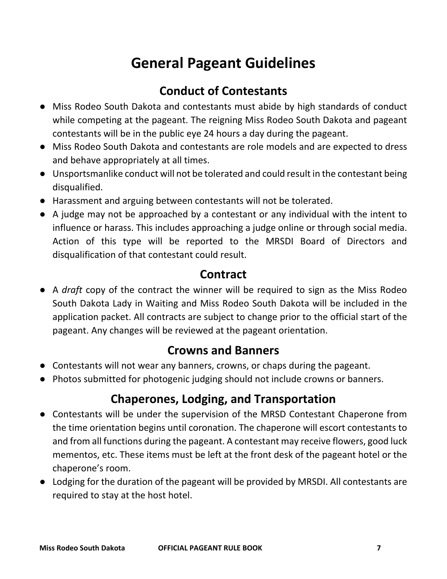## **General Pageant Guidelines**

## **Conduct of Contestants**

- Miss Rodeo South Dakota and contestants must abide by high standards of conduct while competing at the pageant. The reigning Miss Rodeo South Dakota and pageant contestants will be in the public eye 24 hours a day during the pageant.
- Miss Rodeo South Dakota and contestants are role models and are expected to dress and behave appropriately at all times.
- Unsportsmanlike conduct will not be tolerated and could result in the contestant being disqualified.
- Harassment and arguing between contestants will not be tolerated.
- A judge may not be approached by a contestant or any individual with the intent to influence or harass. This includes approaching a judge online or through social media. Action of this type will be reported to the MRSDI Board of Directors and disqualification of that contestant could result.

## **Contract**

● A *draft* copy of the contract the winner will be required to sign as the Miss Rodeo South Dakota Lady in Waiting and Miss Rodeo South Dakota will be included in the application packet. All contracts are subject to change prior to the official start of the pageant. Any changes will be reviewed at the pageant orientation.

## **Crowns and Banners**

- Contestants will not wear any banners, crowns, or chaps during the pageant.
- Photos submitted for photogenic judging should not include crowns or banners.

## **Chaperones, Lodging, and Transportation**

- Contestants will be under the supervision of the MRSD Contestant Chaperone from the time orientation begins until coronation. The chaperone will escort contestants to and from all functions during the pageant. A contestant may receive flowers, good luck mementos, etc. These items must be left at the front desk of the pageant hotel or the chaperone's room.
- Lodging for the duration of the pageant will be provided by MRSDI. All contestants are required to stay at the host hotel.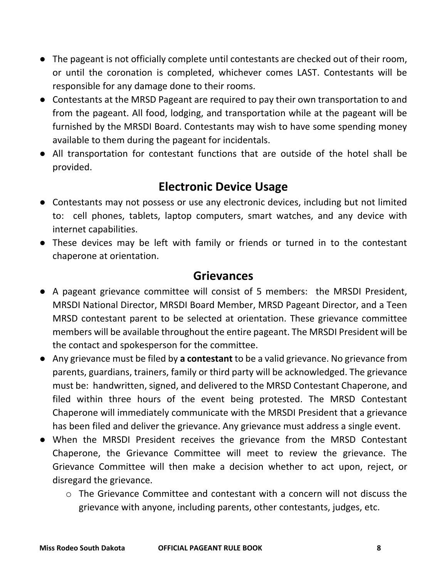- The pageant is not officially complete until contestants are checked out of their room, or until the coronation is completed, whichever comes LAST. Contestants will be responsible for any damage done to their rooms.
- Contestants at the MRSD Pageant are required to pay their own transportation to and from the pageant. All food, lodging, and transportation while at the pageant will be furnished by the MRSDI Board. Contestants may wish to have some spending money available to them during the pageant for incidentals.
- All transportation for contestant functions that are outside of the hotel shall be provided.

## **Electronic Device Usage**

- Contestants may not possess or use any electronic devices, including but not limited to: cell phones, tablets, laptop computers, smart watches, and any device with internet capabilities.
- These devices may be left with family or friends or turned in to the contestant chaperone at orientation.

### **Grievances**

- A pageant grievance committee will consist of 5 members: the MRSDI President, MRSDI National Director, MRSDI Board Member, MRSD Pageant Director, and a Teen MRSD contestant parent to be selected at orientation. These grievance committee members will be available throughout the entire pageant. The MRSDI President will be the contact and spokesperson for the committee.
- Any grievance must be filed by **a contestant** to be a valid grievance. No grievance from parents, guardians, trainers, family or third party will be acknowledged. The grievance must be: handwritten, signed, and delivered to the MRSD Contestant Chaperone, and filed within three hours of the event being protested. The MRSD Contestant Chaperone will immediately communicate with the MRSDI President that a grievance has been filed and deliver the grievance. Any grievance must address a single event.
- When the MRSDI President receives the grievance from the MRSD Contestant Chaperone, the Grievance Committee will meet to review the grievance. The Grievance Committee will then make a decision whether to act upon, reject, or disregard the grievance.
	- $\circ$  The Grievance Committee and contestant with a concern will not discuss the grievance with anyone, including parents, other contestants, judges, etc.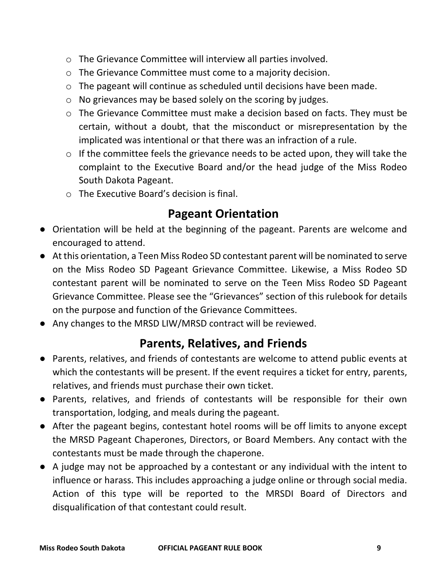- o The Grievance Committee will interview all parties involved.
- o The Grievance Committee must come to a majority decision.
- o The pageant will continue as scheduled until decisions have been made.
- o No grievances may be based solely on the scoring by judges.
- o The Grievance Committee must make a decision based on facts. They must be certain, without a doubt, that the misconduct or misrepresentation by the implicated was intentional or that there was an infraction of a rule.
- $\circ$  If the committee feels the grievance needs to be acted upon, they will take the complaint to the Executive Board and/or the head judge of the Miss Rodeo South Dakota Pageant.
- o The Executive Board's decision is final.

## **Pageant Orientation**

- Orientation will be held at the beginning of the pageant. Parents are welcome and encouraged to attend.
- At this orientation, a Teen Miss Rodeo SD contestant parent will be nominated to serve on the Miss Rodeo SD Pageant Grievance Committee. Likewise, a Miss Rodeo SD contestant parent will be nominated to serve on the Teen Miss Rodeo SD Pageant Grievance Committee. Please see the "Grievances" section of this rulebook for details on the purpose and function of the Grievance Committees.
- Any changes to the MRSD LIW/MRSD contract will be reviewed.

## **Parents, Relatives, and Friends**

- Parents, relatives, and friends of contestants are welcome to attend public events at which the contestants will be present. If the event requires a ticket for entry, parents, relatives, and friends must purchase their own ticket.
- Parents, relatives, and friends of contestants will be responsible for their own transportation, lodging, and meals during the pageant.
- After the pageant begins, contestant hotel rooms will be off limits to anyone except the MRSD Pageant Chaperones, Directors, or Board Members. Any contact with the contestants must be made through the chaperone.
- A judge may not be approached by a contestant or any individual with the intent to influence or harass. This includes approaching a judge online or through social media. Action of this type will be reported to the MRSDI Board of Directors and disqualification of that contestant could result.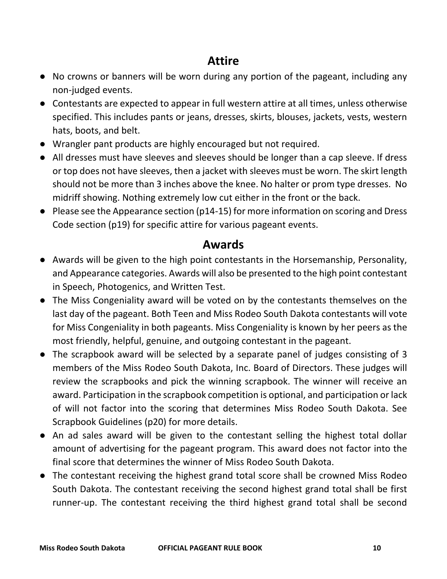## **Attire**

- No crowns or banners will be worn during any portion of the pageant, including any non-judged events.
- Contestants are expected to appear in full western attire at all times, unless otherwise specified. This includes pants or jeans, dresses, skirts, blouses, jackets, vests, western hats, boots, and belt.
- Wrangler pant products are highly encouraged but not required.
- All dresses must have sleeves and sleeves should be longer than a cap sleeve. If dress or top does not have sleeves, then a jacket with sleeves must be worn. The skirt length should not be more than 3 inches above the knee. No halter or prom type dresses. No midriff showing. Nothing extremely low cut either in the front or the back.
- Please see the Appearance section (p14-15) for more information on scoring and Dress Code section (p19) for specific attire for various pageant events.

#### **Awards**

- Awards will be given to the high point contestants in the Horsemanship, Personality, and Appearance categories. Awards will also be presented to the high point contestant in Speech, Photogenics, and Written Test.
- The Miss Congeniality award will be voted on by the contestants themselves on the last day of the pageant. Both Teen and Miss Rodeo South Dakota contestants will vote for Miss Congeniality in both pageants. Miss Congeniality is known by her peers as the most friendly, helpful, genuine, and outgoing contestant in the pageant.
- The scrapbook award will be selected by a separate panel of judges consisting of 3 members of the Miss Rodeo South Dakota, Inc. Board of Directors. These judges will review the scrapbooks and pick the winning scrapbook. The winner will receive an award. Participation in the scrapbook competition is optional, and participation or lack of will not factor into the scoring that determines Miss Rodeo South Dakota. See Scrapbook Guidelines (p20) for more details.
- An ad sales award will be given to the contestant selling the highest total dollar amount of advertising for the pageant program. This award does not factor into the final score that determines the winner of Miss Rodeo South Dakota.
- The contestant receiving the highest grand total score shall be crowned Miss Rodeo South Dakota. The contestant receiving the second highest grand total shall be first runner-up. The contestant receiving the third highest grand total shall be second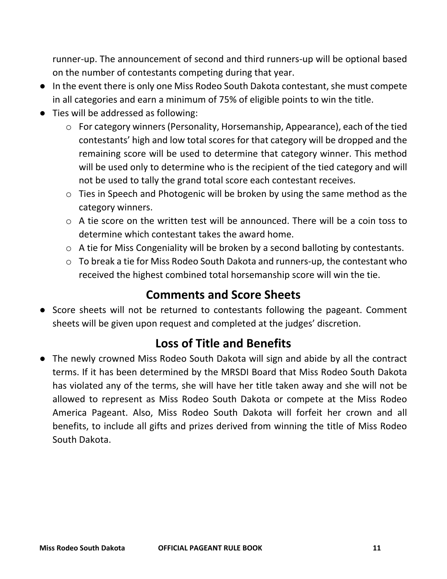runner-up. The announcement of second and third runners-up will be optional based on the number of contestants competing during that year.

- In the event there is only one Miss Rodeo South Dakota contestant, she must compete in all categories and earn a minimum of 75% of eligible points to win the title.
- Ties will be addressed as following:
	- o For category winners (Personality, Horsemanship, Appearance), each of the tied contestants' high and low total scores for that category will be dropped and the remaining score will be used to determine that category winner. This method will be used only to determine who is the recipient of the tied category and will not be used to tally the grand total score each contestant receives.
	- o Ties in Speech and Photogenic will be broken by using the same method as the category winners.
	- $\circ$  A tie score on the written test will be announced. There will be a coin toss to determine which contestant takes the award home.
	- o A tie for Miss Congeniality will be broken by a second balloting by contestants.
	- o To break a tie for Miss Rodeo South Dakota and runners-up, the contestant who received the highest combined total horsemanship score will win the tie.

## **Comments and Score Sheets**

● Score sheets will not be returned to contestants following the pageant. Comment sheets will be given upon request and completed at the judges' discretion.

## **Loss of Title and Benefits**

● The newly crowned Miss Rodeo South Dakota will sign and abide by all the contract terms. If it has been determined by the MRSDI Board that Miss Rodeo South Dakota has violated any of the terms, she will have her title taken away and she will not be allowed to represent as Miss Rodeo South Dakota or compete at the Miss Rodeo America Pageant. Also, Miss Rodeo South Dakota will forfeit her crown and all benefits, to include all gifts and prizes derived from winning the title of Miss Rodeo South Dakota.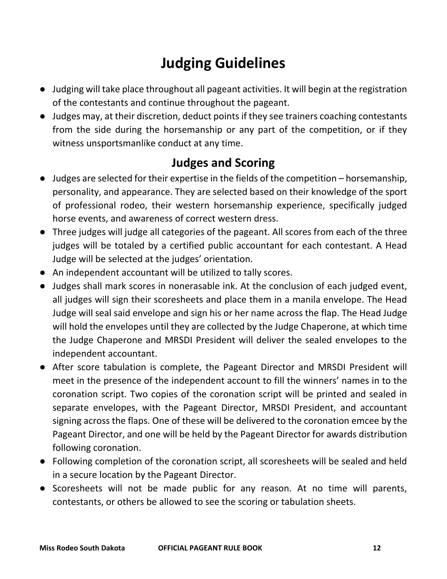## **Judging Guidelines**

- Judging will take place throughout all pageant activities. It will begin at the registration of the contestants and continue throughout the pageant.
- Judges may, at their discretion, deduct points if they see trainers coaching contestants from the side during the horsemanship or any part of the competition, or if they witness unsportsmanlike conduct at any time.

## **Judges and Scoring**

- Judges are selected for their expertise in the fields of the competition horsemanship, personality, and appearance. They are selected based on their knowledge of the sport of professional rodeo, their western horsemanship experience, specifically judged horse events, and awareness of correct western dress.
- Three judges will judge all categories of the pageant. All scores from each of the three judges will be totaled by a certified public accountant for each contestant. A Head Judge will be selected at the judges' orientation.
- An independent accountant will be utilized to tally scores.
- Judges shall mark scores in nonerasable ink. At the conclusion of each judged event, all judges will sign their scoresheets and place them in a manila envelope. The Head Judge will seal said envelope and sign his or her name across the flap. The Head Judge will hold the envelopes until they are collected by the Judge Chaperone, at which time the Judge Chaperone and MRSDI President will deliver the sealed envelopes to the independent accountant.
- After score tabulation is complete, the Pageant Director and MRSDI President will meet in the presence of the independent account to fill the winners' names in to the coronation script. Two copies of the coronation script will be printed and sealed in separate envelopes, with the Pageant Director, MRSDI President, and accountant signing across the flaps. One of these will be delivered to the coronation emcee by the Pageant Director, and one will be held by the Pageant Director for awards distribution following coronation.
- Following completion of the coronation script, all scoresheets will be sealed and held in a secure location by the Pageant Director.
- Scoresheets will not be made public for any reason. At no time will parents, contestants, or others be allowed to see the scoring or tabulation sheets.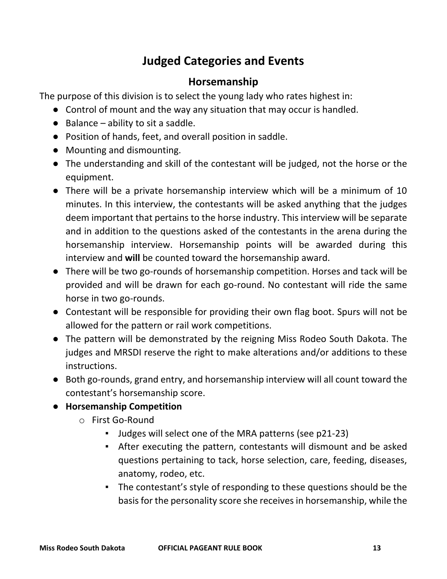## **Judged Categories and Events**

#### **Horsemanship**

The purpose of this division is to select the young lady who rates highest in:

- Control of mount and the way any situation that may occur is handled.
- $\bullet$  Balance ability to sit a saddle.
- Position of hands, feet, and overall position in saddle.
- Mounting and dismounting.
- The understanding and skill of the contestant will be judged, not the horse or the equipment.
- There will be a private horsemanship interview which will be a minimum of 10 minutes. In this interview, the contestants will be asked anything that the judges deem important that pertains to the horse industry. This interview will be separate and in addition to the questions asked of the contestants in the arena during the horsemanship interview. Horsemanship points will be awarded during this interview and **will** be counted toward the horsemanship award.
- There will be two go-rounds of horsemanship competition. Horses and tack will be provided and will be drawn for each go-round. No contestant will ride the same horse in two go-rounds.
- Contestant will be responsible for providing their own flag boot. Spurs will not be allowed for the pattern or rail work competitions.
- The pattern will be demonstrated by the reigning Miss Rodeo South Dakota. The judges and MRSDI reserve the right to make alterations and/or additions to these instructions.
- Both go-rounds, grand entry, and horsemanship interview will all count toward the contestant's horsemanship score.
- **Horsemanship Competition**
	- o First Go-Round
		- Judges will select one of the MRA patterns (see p21-23)
		- After executing the pattern, contestants will dismount and be asked questions pertaining to tack, horse selection, care, feeding, diseases, anatomy, rodeo, etc.
		- The contestant's style of responding to these questions should be the basis for the personality score she receives in horsemanship, while the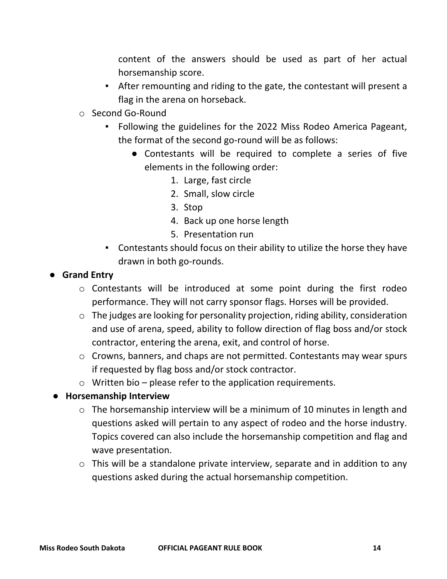content of the answers should be used as part of her actual horsemanship score.

- After remounting and riding to the gate, the contestant will present a flag in the arena on horseback.
- o Second Go-Round
	- Following the guidelines for the 2022 Miss Rodeo America Pageant, the format of the second go-round will be as follows:
		- Contestants will be required to complete a series of five elements in the following order:
			- 1. Large, fast circle
			- 2. Small, slow circle
			- 3. Stop
			- 4. Back up one horse length
			- 5. Presentation run
	- Contestants should focus on their ability to utilize the horse they have drawn in both go-rounds.
- **Grand Entry**
	- o Contestants will be introduced at some point during the first rodeo performance. They will not carry sponsor flags. Horses will be provided.
	- o The judges are looking for personality projection, riding ability, consideration and use of arena, speed, ability to follow direction of flag boss and/or stock contractor, entering the arena, exit, and control of horse.
	- o Crowns, banners, and chaps are not permitted. Contestants may wear spurs if requested by flag boss and/or stock contractor.
	- $\circ$  Written bio please refer to the application requirements.
- **Horsemanship Interview**
	- o The horsemanship interview will be a minimum of 10 minutes in length and questions asked will pertain to any aspect of rodeo and the horse industry. Topics covered can also include the horsemanship competition and flag and wave presentation.
	- o This will be a standalone private interview, separate and in addition to any questions asked during the actual horsemanship competition.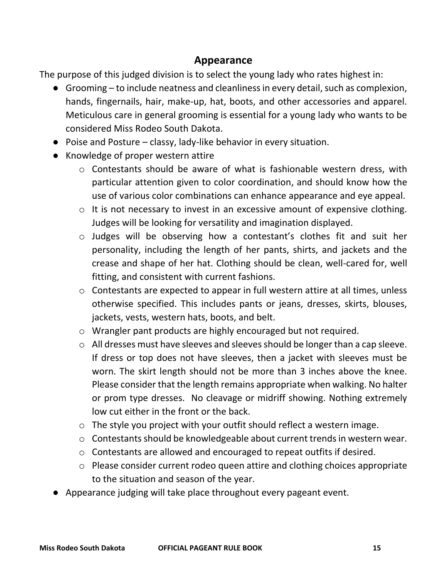#### **Appearance**

The purpose of this judged division is to select the young lady who rates highest in:

- Grooming to include neatness and cleanliness in every detail, such as complexion, hands, fingernails, hair, make-up, hat, boots, and other accessories and apparel. Meticulous care in general grooming is essential for a young lady who wants to be considered Miss Rodeo South Dakota.
- Poise and Posture classy, lady-like behavior in every situation.
- Knowledge of proper western attire
	- o Contestants should be aware of what is fashionable western dress, with particular attention given to color coordination, and should know how the use of various color combinations can enhance appearance and eye appeal.
	- o It is not necessary to invest in an excessive amount of expensive clothing. Judges will be looking for versatility and imagination displayed.
	- o Judges will be observing how a contestant's clothes fit and suit her personality, including the length of her pants, shirts, and jackets and the crease and shape of her hat. Clothing should be clean, well-cared for, well fitting, and consistent with current fashions.
	- o Contestants are expected to appear in full western attire at all times, unless otherwise specified. This includes pants or jeans, dresses, skirts, blouses, jackets, vests, western hats, boots, and belt.
	- o Wrangler pant products are highly encouraged but not required.
	- o All dresses must have sleeves and sleeves should be longer than a cap sleeve. If dress or top does not have sleeves, then a jacket with sleeves must be worn. The skirt length should not be more than 3 inches above the knee. Please consider that the length remains appropriate when walking. No halter or prom type dresses. No cleavage or midriff showing. Nothing extremely low cut either in the front or the back.
	- o The style you project with your outfit should reflect a western image.
	- o Contestants should be knowledgeable about current trends in western wear.
	- o Contestants are allowed and encouraged to repeat outfits if desired.
	- o Please consider current rodeo queen attire and clothing choices appropriate to the situation and season of the year.
- Appearance judging will take place throughout every pageant event.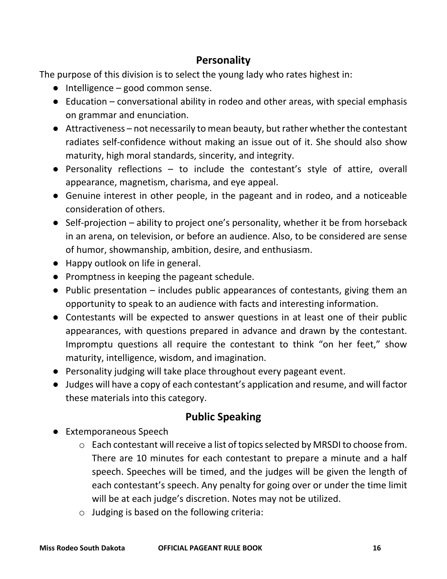#### **Personality**

The purpose of this division is to select the young lady who rates highest in:

- $\bullet$  Intelligence good common sense.
- Education conversational ability in rodeo and other areas, with special emphasis on grammar and enunciation.
- Attractiveness not necessarily to mean beauty, but rather whether the contestant radiates self-confidence without making an issue out of it. She should also show maturity, high moral standards, sincerity, and integrity.
- Personality reflections to include the contestant's style of attire, overall appearance, magnetism, charisma, and eye appeal.
- Genuine interest in other people, in the pageant and in rodeo, and a noticeable consideration of others.
- Self-projection ability to project one's personality, whether it be from horseback in an arena, on television, or before an audience. Also, to be considered are sense of humor, showmanship, ambition, desire, and enthusiasm.
- Happy outlook on life in general.
- Promptness in keeping the pageant schedule.
- Public presentation includes public appearances of contestants, giving them an opportunity to speak to an audience with facts and interesting information.
- Contestants will be expected to answer questions in at least one of their public appearances, with questions prepared in advance and drawn by the contestant. Impromptu questions all require the contestant to think "on her feet," show maturity, intelligence, wisdom, and imagination.
- Personality judging will take place throughout every pageant event.
- Judges will have a copy of each contestant's application and resume, and will factor these materials into this category.

#### **Public Speaking**

- Extemporaneous Speech
	- o Each contestant will receive a list of topicsselected by MRSDI to choose from. There are 10 minutes for each contestant to prepare a minute and a half speech. Speeches will be timed, and the judges will be given the length of each contestant's speech. Any penalty for going over or under the time limit will be at each judge's discretion. Notes may not be utilized.
	- o Judging is based on the following criteria: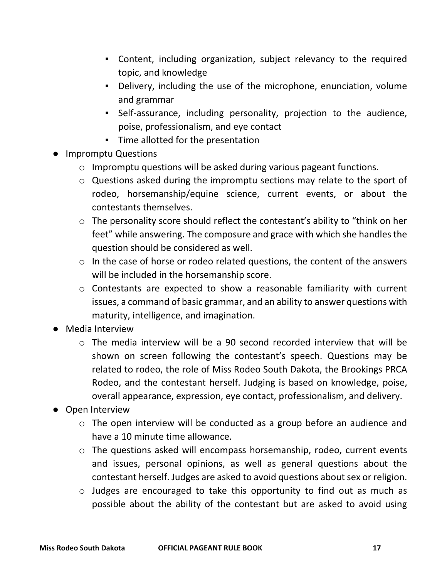- Content, including organization, subject relevancy to the required topic, and knowledge
- Delivery, including the use of the microphone, enunciation, volume and grammar
- Self-assurance, including personality, projection to the audience, poise, professionalism, and eye contact
- Time allotted for the presentation
- Impromptu Questions
	- o Impromptu questions will be asked during various pageant functions.
	- o Questions asked during the impromptu sections may relate to the sport of rodeo, horsemanship/equine science, current events, or about the contestants themselves.
	- o The personality score should reflect the contestant's ability to "think on her feet" while answering. The composure and grace with which she handles the question should be considered as well.
	- o In the case of horse or rodeo related questions, the content of the answers will be included in the horsemanship score.
	- o Contestants are expected to show a reasonable familiarity with current issues, a command of basic grammar, and an ability to answer questions with maturity, intelligence, and imagination.
- Media Interview
	- o The media interview will be a 90 second recorded interview that will be shown on screen following the contestant's speech. Questions may be related to rodeo, the role of Miss Rodeo South Dakota, the Brookings PRCA Rodeo, and the contestant herself. Judging is based on knowledge, poise, overall appearance, expression, eye contact, professionalism, and delivery.
- Open Interview
	- o The open interview will be conducted as a group before an audience and have a 10 minute time allowance.
	- o The questions asked will encompass horsemanship, rodeo, current events and issues, personal opinions, as well as general questions about the contestant herself. Judges are asked to avoid questions about sex or religion.
	- o Judges are encouraged to take this opportunity to find out as much as possible about the ability of the contestant but are asked to avoid using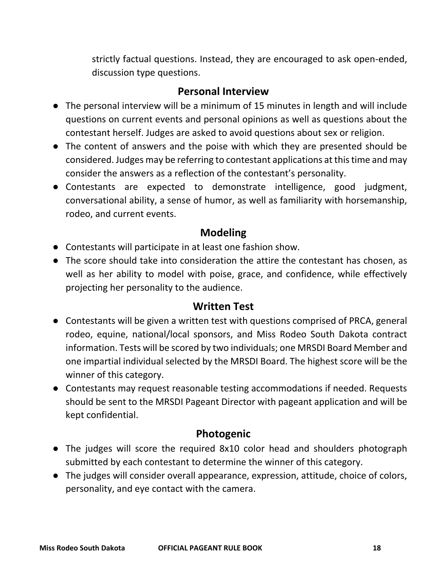strictly factual questions. Instead, they are encouraged to ask open-ended, discussion type questions.

#### **Personal Interview**

- The personal interview will be a minimum of 15 minutes in length and will include questions on current events and personal opinions as well as questions about the contestant herself. Judges are asked to avoid questions about sex or religion.
- The content of answers and the poise with which they are presented should be considered. Judges may be referring to contestant applications at this time and may consider the answers as a reflection of the contestant's personality.
- Contestants are expected to demonstrate intelligence, good judgment, conversational ability, a sense of humor, as well as familiarity with horsemanship, rodeo, and current events.

#### **Modeling**

- Contestants will participate in at least one fashion show.
- The score should take into consideration the attire the contestant has chosen, as well as her ability to model with poise, grace, and confidence, while effectively projecting her personality to the audience.

#### **Written Test**

- Contestants will be given a written test with questions comprised of PRCA, general rodeo, equine, national/local sponsors, and Miss Rodeo South Dakota contract information. Tests will be scored by two individuals; one MRSDI Board Member and one impartial individual selected by the MRSDI Board. The highest score will be the winner of this category.
- Contestants may request reasonable testing accommodations if needed. Requests should be sent to the MRSDI Pageant Director with pageant application and will be kept confidential.

#### **Photogenic**

- The judges will score the required 8x10 color head and shoulders photograph submitted by each contestant to determine the winner of this category.
- The judges will consider overall appearance, expression, attitude, choice of colors, personality, and eye contact with the camera.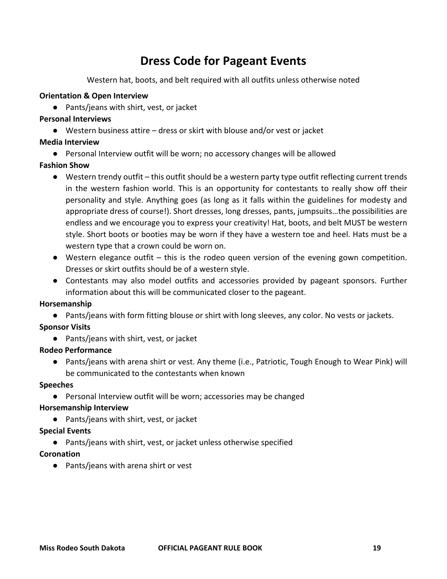## **Dress Code for Pageant Events**

Western hat, boots, and belt required with all outfits unless otherwise noted

#### **Orientation & Open Interview**

● Pants/jeans with shirt, vest, or jacket

#### **Personal Interviews**

● Western business attire – dress or skirt with blouse and/or vest or jacket

#### **Media Interview**

● Personal Interview outfit will be worn; no accessory changes will be allowed

#### **Fashion Show**

- Western trendy outfit this outfit should be a western party type outfit reflecting current trends in the western fashion world. This is an opportunity for contestants to really show off their personality and style. Anything goes (as long as it falls within the guidelines for modesty and appropriate dress of course!). Short dresses, long dresses, pants, jumpsuits…the possibilities are endless and we encourage you to express your creativity! Hat, boots, and belt MUST be western style. Short boots or booties may be worn if they have a western toe and heel. Hats must be a western type that a crown could be worn on.
- $\bullet$  Western elegance outfit this is the rodeo queen version of the evening gown competition. Dresses or skirt outfits should be of a western style.
- Contestants may also model outfits and accessories provided by pageant sponsors. Further information about this will be communicated closer to the pageant.

#### **Horsemanship**

● Pants/jeans with form fitting blouse or shirt with long sleeves, any color. No vests or jackets.

#### **Sponsor Visits**

● Pants/jeans with shirt, vest, or jacket

#### **Rodeo Performance**

● Pants/jeans with arena shirt or vest. Any theme (i.e., Patriotic, Tough Enough to Wear Pink) will be communicated to the contestants when known

#### **Speeches**

● Personal Interview outfit will be worn; accessories may be changed

#### **Horsemanship Interview**

● Pants/jeans with shirt, vest, or jacket

#### **Special Events**

● Pants/jeans with shirt, vest, or jacket unless otherwise specified

#### **Coronation**

● Pants/jeans with arena shirt or vest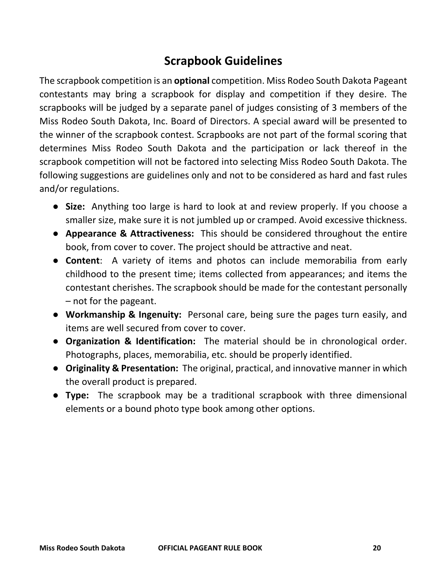## **Scrapbook Guidelines**

The scrapbook competition is an **optional** competition. Miss Rodeo South Dakota Pageant contestants may bring a scrapbook for display and competition if they desire. The scrapbooks will be judged by a separate panel of judges consisting of 3 members of the Miss Rodeo South Dakota, Inc. Board of Directors. A special award will be presented to the winner of the scrapbook contest. Scrapbooks are not part of the formal scoring that determines Miss Rodeo South Dakota and the participation or lack thereof in the scrapbook competition will not be factored into selecting Miss Rodeo South Dakota. The following suggestions are guidelines only and not to be considered as hard and fast rules and/or regulations.

- **Size:** Anything too large is hard to look at and review properly. If you choose a smaller size, make sure it is not jumbled up or cramped. Avoid excessive thickness.
- **Appearance & Attractiveness:** This should be considered throughout the entire book, from cover to cover. The project should be attractive and neat.
- **Content**: A variety of items and photos can include memorabilia from early childhood to the present time; items collected from appearances; and items the contestant cherishes. The scrapbook should be made for the contestant personally – not for the pageant.
- **Workmanship & Ingenuity:** Personal care, being sure the pages turn easily, and items are well secured from cover to cover.
- **Organization & Identification:** The material should be in chronological order. Photographs, places, memorabilia, etc. should be properly identified.
- **Originality & Presentation:** The original, practical, and innovative manner in which the overall product is prepared.
- **Type:** The scrapbook may be a traditional scrapbook with three dimensional elements or a bound photo type book among other options.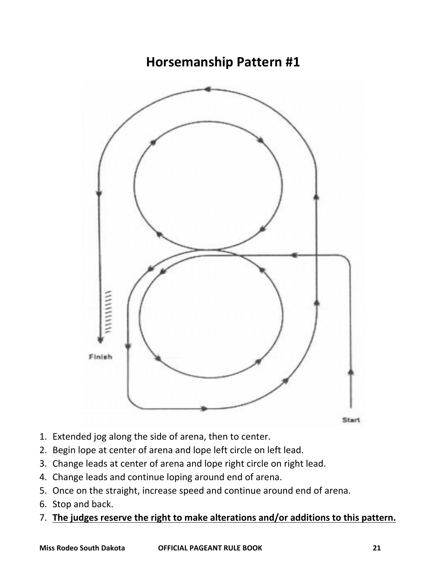## **Horsemanship Pattern #1**



**Start** 

- 1. Extended jog along the side of arena, then to center.
- 2. Begin lope at center of arena and lope left circle on left lead.
- 3. Change leads at center of arena and lope right circle on right lead.
- 4. Change leads and continue loping around end of arena.
- 5. Once on the straight, increase speed and continue around end of arena.
- 6. Stop and back.
- 7. **The judges reserve the right to make alterations and/or additions to this pattern.**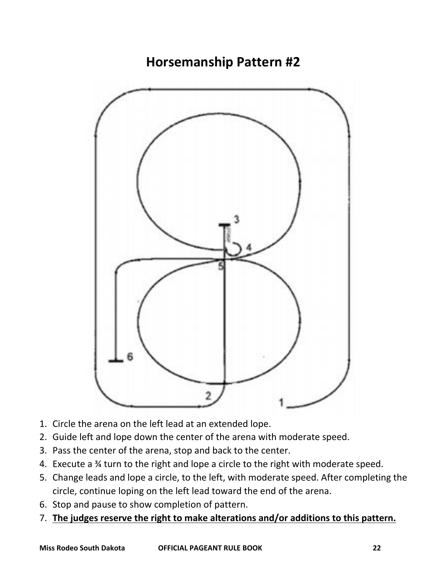**Horsemanship Pattern #2**



- 1. Circle the arena on the left lead at an extended lope.
- 2. Guide left and lope down the center of the arena with moderate speed.
- 3. Pass the center of the arena, stop and back to the center.
- 4. Execute a ¾ turn to the right and lope a circle to the right with moderate speed.
- 5. Change leads and lope a circle, to the left, with moderate speed. After completing the circle, continue loping on the left lead toward the end of the arena.
- 6. Stop and pause to show completion of pattern.
- 7. **The judges reserve the right to make alterations and/or additions to this pattern.**